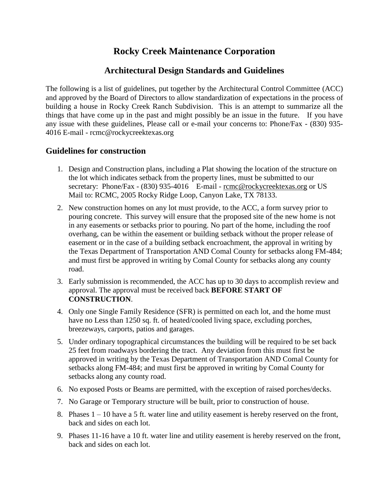## **Rocky Creek Maintenance Corporation**

## **Architectural Design Standards and Guidelines**

The following is a list of guidelines, put together by the Architectural Control Committee (ACC) and approved by the Board of Directors to allow standardization of expectations in the process of building a house in Rocky Creek Ranch Subdivision. This is an attempt to summarize all the things that have come up in the past and might possibly be an issue in the future. If you have any issue with these guidelines, Please call or e-mail your concerns to: Phone/Fax - (830) 935- 4016 E-mail - rcmc@rockycreektexas.org

## **Guidelines for construction**

- 1. Design and Construction plans, including a Plat showing the location of the structure on the lot which indicates setback from the property lines, must be submitted to our secretary: Phone/Fax - (830) 935-4016 E-mail - rcmc@rockycreektexas.org or US Mail to: RCMC, 2005 Rocky Ridge Loop, Canyon Lake, TX 78133.
- 2. New construction homes on any lot must provide, to the ACC, a form survey prior to pouring concrete. This survey will ensure that the proposed site of the new home is not in any easements or setbacks prior to pouring. No part of the home, including the roof overhang, can be within the easement or building setback without the proper release of easement or in the case of a building setback encroachment, the approval in writing by the Texas Department of Transportation AND Comal County for setbacks along FM-484; and must first be approved in writing by Comal County for setbacks along any county road.
- 3. Early submission is recommended, the ACC has up to 30 days to accomplish review and approval. The approval must be received back **BEFORE START OF CONSTRUCTION**.
- 4. Only one Single Family Residence (SFR) is permitted on each lot, and the home must have no Less than 1250 sq. ft. of heated/cooled living space, excluding porches, breezeways, carports, patios and garages.
- 5. Under ordinary topographical circumstances the building will be required to be set back 25 feet from roadways bordering the tract. Any deviation from this must first be approved in writing by the Texas Department of Transportation AND Comal County for setbacks along FM-484; and must first be approved in writing by Comal County for setbacks along any county road.
- 6. No exposed Posts or Beams are permitted, with the exception of raised porches/decks.
- 7. No Garage or Temporary structure will be built, prior to construction of house.
- 8. Phases  $1 10$  have a 5 ft. water line and utility easement is hereby reserved on the front, back and sides on each lot.
- 9. Phases 11-16 have a 10 ft. water line and utility easement is hereby reserved on the front, back and sides on each lot.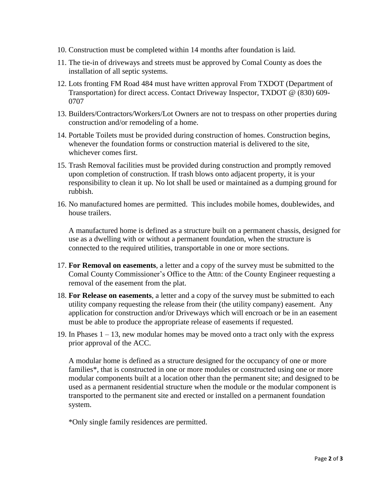- 10. Construction must be completed within 14 months after foundation is laid.
- 11. The tie-in of driveways and streets must be approved by Comal County as does the installation of all septic systems.
- 12. Lots fronting FM Road 484 must have written approval From TXDOT (Department of Transportation) for direct access. Contact Driveway Inspector, TXDOT @ (830) 609- 0707
- 13. Builders/Contractors/Workers/Lot Owners are not to trespass on other properties during construction and/or remodeling of a home.
- 14. Portable Toilets must be provided during construction of homes. Construction begins, whenever the foundation forms or construction material is delivered to the site, whichever comes first.
- 15. Trash Removal facilities must be provided during construction and promptly removed upon completion of construction. If trash blows onto adjacent property, it is your responsibility to clean it up. No lot shall be used or maintained as a dumping ground for rubbish.
- 16. No manufactured homes are permitted. This includes mobile homes, doublewides, and house trailers.

A manufactured home is defined as a structure built on a permanent chassis, designed for use as a dwelling with or without a permanent foundation, when the structure is connected to the required utilities, transportable in one or more sections.

- 17. **For Removal on easements**, a letter and a copy of the survey must be submitted to the Comal County Commissioner's Office to the Attn: of the County Engineer requesting a removal of the easement from the plat.
- 18. **For Release on easements**, a letter and a copy of the survey must be submitted to each utility company requesting the release from their (the utility company) easement. Any application for construction and/or Driveways which will encroach or be in an easement must be able to produce the appropriate release of easements if requested.
- 19. In Phases  $1 13$ , new modular homes may be moved onto a tract only with the express prior approval of the ACC.

A modular home is defined as a structure designed for the occupancy of one or more families\*, that is constructed in one or more modules or constructed using one or more modular components built at a location other than the permanent site; and designed to be used as a permanent residential structure when the module or the modular component is transported to the permanent site and erected or installed on a permanent foundation system.

\*Only single family residences are permitted.